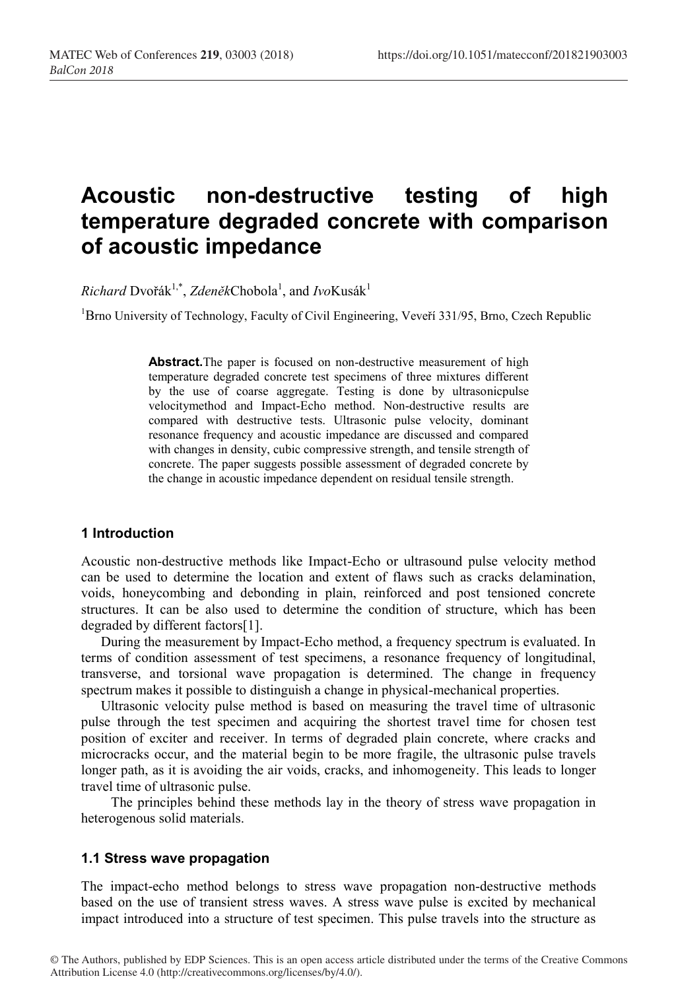# **Acoustic non-destructive testing of high temperature degraded concrete with comparison of acoustic impedance**

 $Richard$  Dvořák<sup>1,\*</sup>, *Zdeněk*Chobola<sup>1</sup>, and *Ivo*Kusák<sup>1</sup>

<sup>1</sup>Brno University of Technology, Faculty of Civil Engineering, Veveří 331/95, Brno, Czech Republic

**Abstract.**The paper is focused on non-destructive measurement of high temperature degraded concrete test specimens of three mixtures different by the use of coarse aggregate. Testing is done by ultrasonicpulse velocitymethod and Impact-Echo method. Non-destructive results are compared with destructive tests. Ultrasonic pulse velocity, dominant resonance frequency and acoustic impedance are discussed and compared with changes in density, cubic compressive strength, and tensile strength of concrete. The paper suggests possible assessment of degraded concrete by the change in acoustic impedance dependent on residual tensile strength.

#### **1 Introduction**

Acoustic non-destructive methods like Impact-Echo or ultrasound pulse velocity method can be used to determine the location and extent of flaws such as cracks delamination, voids, honeycombing and debonding in plain, reinforced and post tensioned concrete structures. It can be also used to determine the condition of structure, which has been degraded by different factors[1].

During the measurement by Impact-Echo method, a frequency spectrum is evaluated. In terms of condition assessment of test specimens, a resonance frequency of longitudinal, transverse, and torsional wave propagation is determined. The change in frequency spectrum makes it possible to distinguish a change in physical-mechanical properties.

Ultrasonic velocity pulse method is based on measuring the travel time of ultrasonic pulse through the test specimen and acquiring the shortest travel time for chosen test position of exciter and receiver. In terms of degraded plain concrete, where cracks and microcracks occur, and the material begin to be more fragile, the ultrasonic pulse travels longer path, as it is avoiding the air voids, cracks, and inhomogeneity. This leads to longer travel time of ultrasonic pulse.

The principles behind these methods lay in the theory of stress wave propagation in heterogenous solid materials.

#### **1.1 Stress wave propagation**

The impact-echo method belongs to stress wave propagation non-destructive methods based on the use of transient stress waves. A stress wave pulse is excited by mechanical impact introduced into a structure of test specimen. This pulse travels into the structure as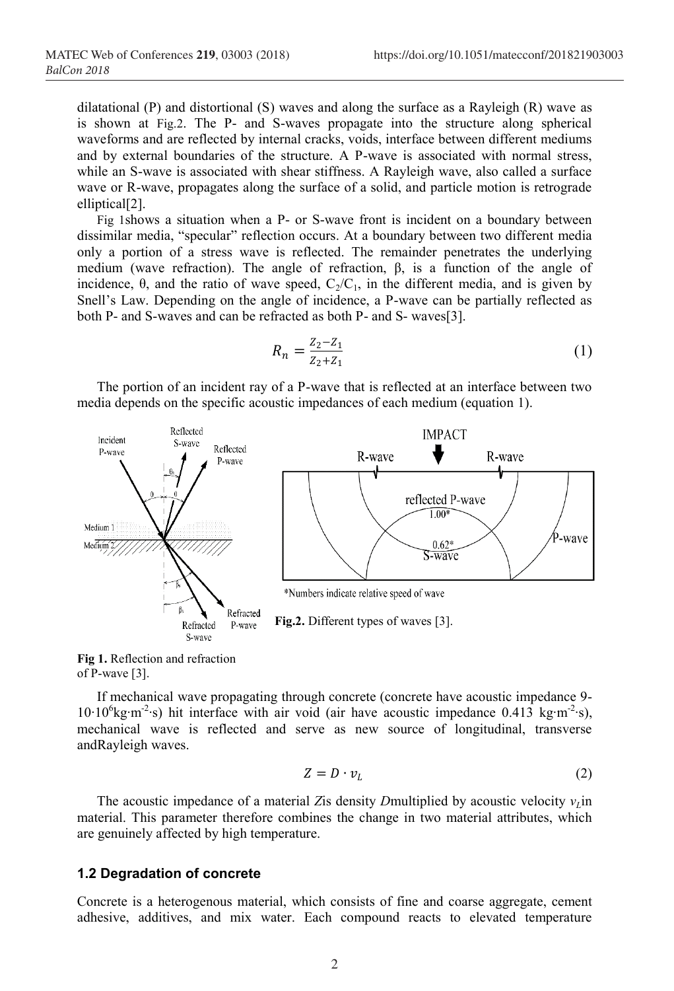dilatational (P) and distortional (S) waves and along the surface as a Rayleigh (R) wave as is shown at Fig.2. The P- and S-waves propagate into the structure along spherical waveforms and are reflected by internal cracks, voids, interface between different mediums and by external boundaries of the structure. A P-wave is associated with normal stress, while an S-wave is associated with shear stiffness. A Rayleigh wave, also called a surface wave or R-wave, propagates along the surface of a solid, and particle motion is retrograde elliptical[2].

Fig 1shows a situation when a P- or S-wave front is incident on a boundary between dissimilar media, "specular" reflection occurs. At a boundary between two different media only a portion of a stress wave is reflected. The remainder penetrates the underlying medium (wave refraction). The angle of refraction, β, is a function of the angle of incidence,  $\theta$ , and the ratio of wave speed,  $C_2/C_1$ , in the different media, and is given by Snell's Law. Depending on the angle of incidence, a P-wave can be partially reflected as both P- and S-waves and can be refracted as both P- and S- waves[3].

$$
R_n = \frac{Z_2 - Z_1}{Z_2 + Z_1} \tag{1}
$$

The portion of an incident ray of a P-wave that is reflected at an interface between two media depends on the specific acoustic impedances of each medium (equation 1).



**Fig 1.** Reflection and refraction of P-wave [3].

If mechanical wave propagating through concrete (concrete have acoustic impedance 9- 10⋅10<sup>6</sup>kg⋅m<sup>-2</sup>⋅s) hit interface with air void (air have acoustic impedance 0.413 kg⋅m<sup>-2</sup>⋅s), mechanical wave is reflected and serve as new source of longitudinal, transverse andRayleigh waves.

$$
Z = D \cdot v_L \tag{2}
$$

The acoustic impedance of a material *Z*is density *D*multiplied by acoustic velocity  $v_l$  in material. This parameter therefore combines the change in two material attributes, which are genuinely affected by high temperature.

#### **1.2 Degradation of concrete**

Concrete is a heterogenous material, which consists of fine and coarse aggregate, cement adhesive, additives, and mix water. Each compound reacts to elevated temperature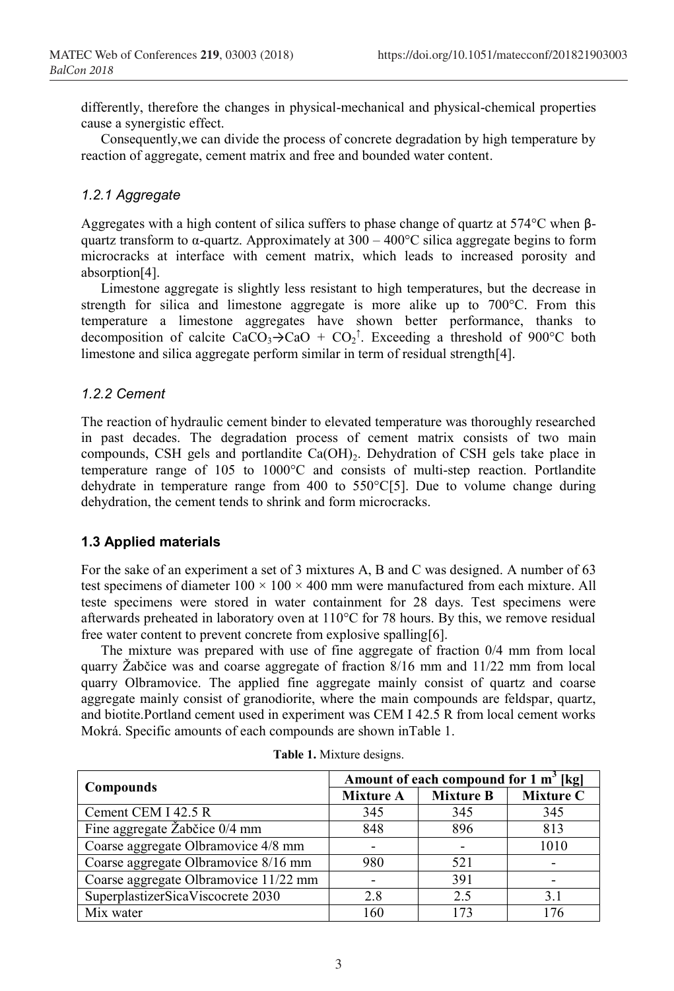differently, therefore the changes in physical-mechanical and physical-chemical properties cause a synergistic effect.

Consequently,we can divide the process of concrete degradation by high temperature by reaction of aggregate, cement matrix and free and bounded water content.

## *1.2.1 Aggregate*

Aggregates with a high content of silica suffers to phase change of quartz at 574°C when βquartz transform to  $\alpha$ -quartz. Approximately at  $300 - 400^{\circ}$ C silica aggregate begins to form microcracks at interface with cement matrix, which leads to increased porosity and absorption[4].

Limestone aggregate is slightly less resistant to high temperatures, but the decrease in strength for silica and limestone aggregate is more alike up to 700°C. From this temperature a limestone aggregates have shown better performance, thanks to decomposition of calcite  $CaCO<sub>3</sub> \rightarrow CaO + CO<sub>2</sub>$ <sup>†</sup>. Exceeding a threshold of 900°C both limestone and silica aggregate perform similar in term of residual strength[4].

## *1.2.2 Cement*

The reaction of hydraulic cement binder to elevated temperature was thoroughly researched in past decades. The degradation process of cement matrix consists of two main compounds, CSH gels and portlandite  $Ca(OH)_2$ . Dehydration of CSH gels take place in temperature range of 105 to 1000°C and consists of multi-step reaction. Portlandite dehydrate in temperature range from 400 to 550°C[5]. Due to volume change during dehydration, the cement tends to shrink and form microcracks.

## **1.3 Applied materials**

For the sake of an experiment a set of 3 mixtures A, B and C was designed. A number of 63 test specimens of diameter  $100 \times 100 \times 400$  mm were manufactured from each mixture. All teste specimens were stored in water containment for 28 days. Test specimens were afterwards preheated in laboratory oven at 110°C for 78 hours. By this, we remove residual free water content to prevent concrete from explosive spalling[6].

The mixture was prepared with use of fine aggregate of fraction 0/4 mm from local quarry Žabčice was and coarse aggregate of fraction 8/16 mm and 11/22 mm from local quarry Olbramovice. The applied fine aggregate mainly consist of quartz and coarse aggregate mainly consist of granodiorite, where the main compounds are feldspar, quartz, and biotite.Portland cement used in experiment was CEM I 42.5 R from local cement works Mokrá. Specific amounts of each compounds are shown inTable 1.

| <b>Compounds</b>                      | Amount of each compound for 1 m <sup>3</sup> [kg] |                  |           |
|---------------------------------------|---------------------------------------------------|------------------|-----------|
|                                       | <b>Mixture A</b>                                  | <b>Mixture B</b> | Mixture C |
| Cement CEM I 42.5 R                   | 345                                               | 345              | 345       |
| Fine aggregate Žabčice 0/4 mm         | 848                                               | 896              | 813       |
| Coarse aggregate Olbramovice 4/8 mm   |                                                   |                  | 1010      |
| Coarse aggregate Olbramovice 8/16 mm  | 980                                               | 521              |           |
| Coarse aggregate Olbramovice 11/22 mm |                                                   | 391              |           |
| SuperplastizerSicaViscocrete 2030     | 2.8                                               | 2.5              | 3.1       |
| Mix water                             | 160                                               | 173              | 176       |

**Table 1.** Mixture designs.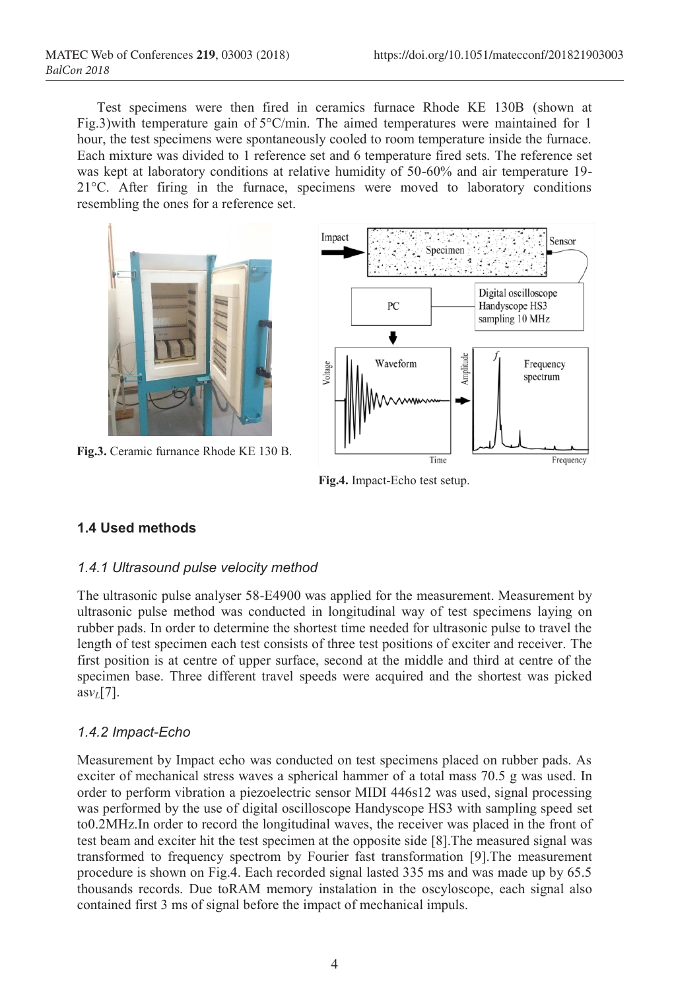Test specimens were then fired in ceramics furnace Rhode KE 130B (shown at Fig.3)with temperature gain of  $5^{\circ}$ C/min. The aimed temperatures were maintained for 1 hour, the test specimens were spontaneously cooled to room temperature inside the furnace. Each mixture was divided to 1 reference set and 6 temperature fired sets. The reference set was kept at laboratory conditions at relative humidity of 50-60% and air temperature 19- 21°C. After firing in the furnace, specimens were moved to laboratory conditions resembling the ones for a reference set.



**Fig.3.** Ceramic furnance Rhode KE 130 B.



**Fig.4.** Impact-Echo test setup.

# **1.4 Used methods**

## *1.4.1 Ultrasound pulse velocity method*

The ultrasonic pulse analyser 58-E4900 was applied for the measurement. Measurement by ultrasonic pulse method was conducted in longitudinal way of test specimens laying on rubber pads. In order to determine the shortest time needed for ultrasonic pulse to travel the length of test specimen each test consists of three test positions of exciter and receiver. The first position is at centre of upper surface, second at the middle and third at centre of the specimen base. Three different travel speeds were acquired and the shortest was picked as $v_L$ [7].

## *1.4.2 Impact-Echo*

Measurement by Impact echo was conducted on test specimens placed on rubber pads. As exciter of mechanical stress waves a spherical hammer of a total mass 70.5 g was used. In order to perform vibration a piezoelectric sensor MIDI 446s12 was used, signal processing was performed by the use of digital oscilloscope Handyscope HS3 with sampling speed set to0.2MHz.In order to record the longitudinal waves, the receiver was placed in the front of test beam and exciter hit the test specimen at the opposite side [8].The measured signal was transformed to frequency spectrom by Fourier fast transformation [9].The measurement procedure is shown on Fig.4. Each recorded signal lasted 335 ms and was made up by 65.5 thousands records. Due toRAM memory instalation in the oscyloscope, each signal also contained first 3 ms of signal before the impact of mechanical impuls.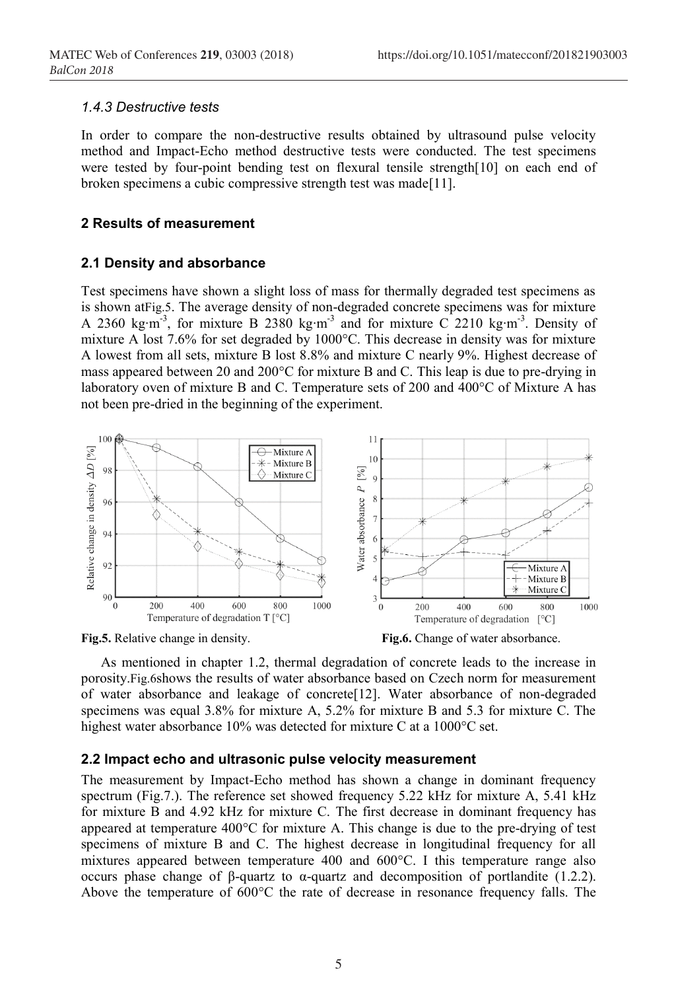#### *1.4.3 Destructive tests*

In order to compare the non-destructive results obtained by ultrasound pulse velocity method and Impact-Echo method destructive tests were conducted. The test specimens were tested by four-point bending test on flexural tensile strength[10] on each end of broken specimens a cubic compressive strength test was made[11].

## **2 Results of measurement**

#### **2.1 Density and absorbance**

Test specimens have shown a slight loss of mass for thermally degraded test specimens as is shown atFig.5. The average density of non-degraded concrete specimens was for mixture A 2360 kg⋅m<sup>-3</sup>, for mixture B 2380 kg⋅m<sup>-3</sup> and for mixture C 2210 kg⋅m<sup>-3</sup>. Density of mixture A lost 7.6% for set degraded by 1000°C. This decrease in density was for mixture A lowest from all sets, mixture B lost 8.8% and mixture C nearly 9%. Highest decrease of mass appeared between 20 and 200°C for mixture B and C. This leap is due to pre-drying in laboratory oven of mixture B and C. Temperature sets of 200 and 400°C of Mixture A has not been pre-dried in the beginning of the experiment.



**Fig.5.** Relative change in density. **Fig.6.** Change of water absorbance.

As mentioned in chapter 1.2, thermal degradation of concrete leads to the increase in porosity.Fig.6shows the results of water absorbance based on Czech norm for measurement of water absorbance and leakage of concrete[12]. Water absorbance of non-degraded specimens was equal 3.8% for mixture A, 5.2% for mixture B and 5.3 for mixture C. The highest water absorbance 10% was detected for mixture C at a 1000°C set.

#### **2.2 Impact echo and ultrasonic pulse velocity measurement**

The measurement by Impact-Echo method has shown a change in dominant frequency spectrum (Fig.7.). The reference set showed frequency 5.22 kHz for mixture A, 5.41 kHz for mixture B and 4.92 kHz for mixture C. The first decrease in dominant frequency has appeared at temperature 400°C for mixture A. This change is due to the pre-drying of test specimens of mixture B and C. The highest decrease in longitudinal frequency for all mixtures appeared between temperature 400 and 600°C. I this temperature range also occurs phase change of β-quartz to α-quartz and decomposition of portlandite (1.2.2). Above the temperature of 600°C the rate of decrease in resonance frequency falls. The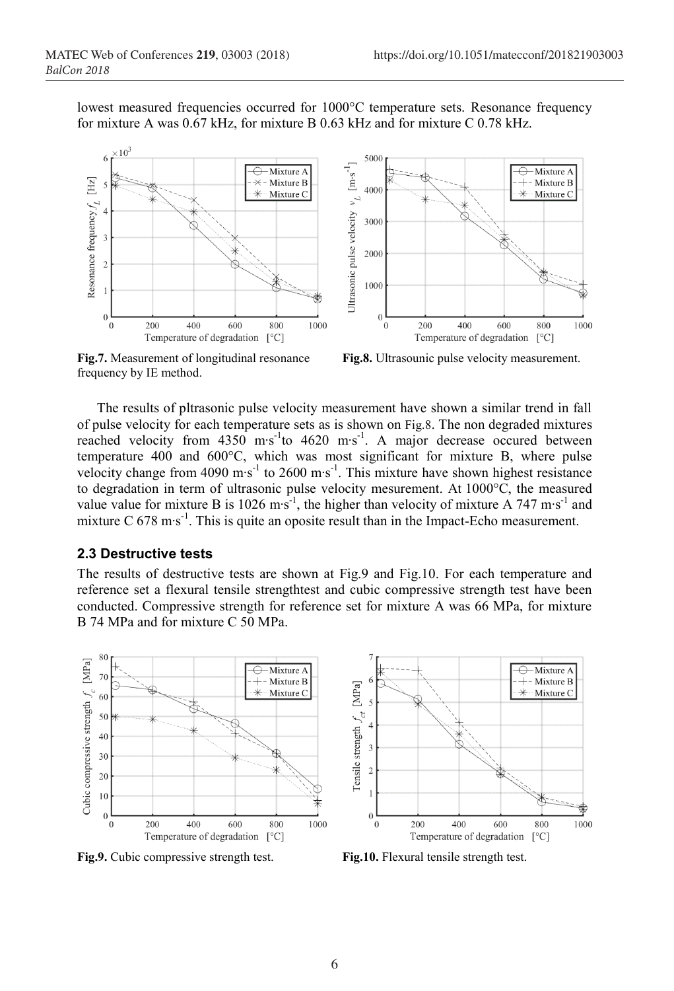lowest measured frequencies occurred for 1000°C temperature sets. Resonance frequency for mixture A was 0.67 kHz, for mixture B 0.63 kHz and for mixture C 0.78 kHz.



**Fig.7.** Measurement of longitudinal resonance frequency by IE method.

**Fig.8.** Ultrasounic pulse velocity measurement.

The results of pltrasonic pulse velocity measurement have shown a similar trend in fall of pulse velocity for each temperature sets as is shown on Fig.8. The non degraded mixtures reached velocity from 4350 m⋅s<sup>-1</sup>to 4620 m⋅s<sup>-1</sup>. A major decrease occured between temperature 400 and 600°C, which was most significant for mixture B, where pulse velocity change from 4090 m⋅s<sup>-1</sup> to 2600 m⋅s<sup>-1</sup>. This mixture have shown highest resistance to degradation in term of ultrasonic pulse velocity mesurement. At 1000°C, the measured value value for mixture B is 1026 m⋅s<sup>-1</sup>, the higher than velocity of mixture A 747 m⋅s<sup>-1</sup> and mixture C 678 m⋅s<sup>-1</sup>. This is quite an oposite result than in the Impact-Echo measurement.

#### **2.3 Destructive tests**

The results of destructive tests are shown at Fig.9 and Fig.10. For each temperature and reference set a flexural tensile strengthtest and cubic compressive strength test have been conducted. Compressive strength for reference set for mixture A was 66 MPa, for mixture B 74 MPa and for mixture C 50 MPa.



**Fig.9.** Cubic compressive strength test. **Fig.10.** Flexural tensile strength test.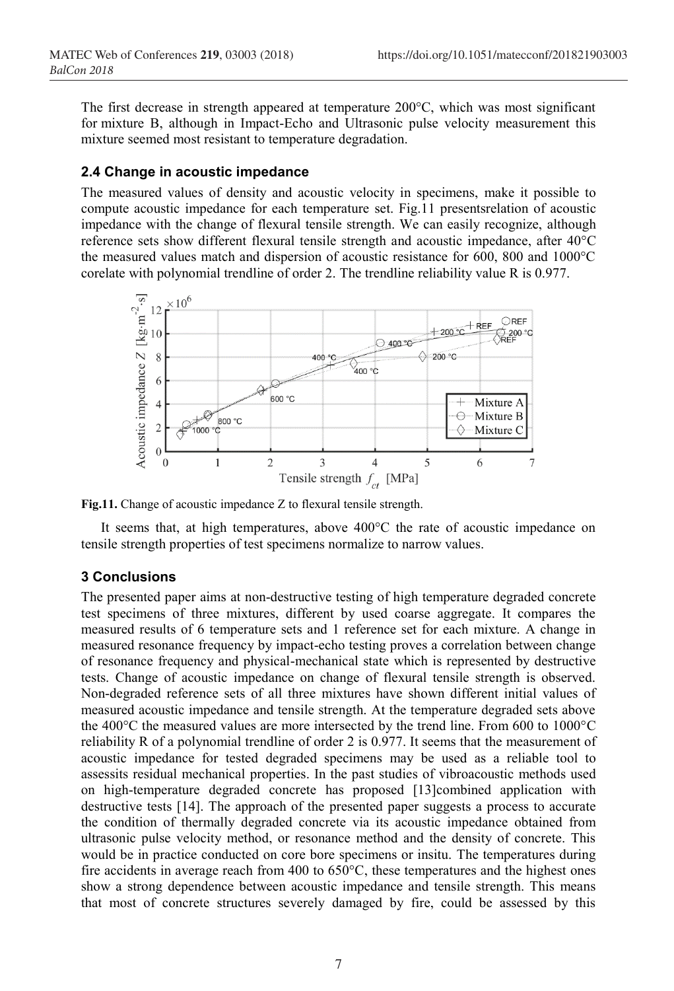The first decrease in strength appeared at temperature  $200^{\circ}$ C, which was most significant for mixture B, although in Impact-Echo and Ultrasonic pulse velocity measurement this mixture seemed most resistant to temperature degradation.

## **2.4 Change in acoustic impedance**

The measured values of density and acoustic velocity in specimens, make it possible to compute acoustic impedance for each temperature set. Fig.11 presentsrelation of acoustic impedance with the change of flexural tensile strength. We can easily recognize, although reference sets show different flexural tensile strength and acoustic impedance, after 40°C the measured values match and dispersion of acoustic resistance for 600, 800 and 1000°C corelate with polynomial trendline of order 2. The trendline reliability value R is 0.977.



**Fig.11.** Change of acoustic impedance Z to flexural tensile strength.

It seems that, at high temperatures, above 400°C the rate of acoustic impedance on tensile strength properties of test specimens normalize to narrow values.

# **3 Conclusions**

The presented paper aims at non-destructive testing of high temperature degraded concrete test specimens of three mixtures, different by used coarse aggregate. It compares the measured results of 6 temperature sets and 1 reference set for each mixture. A change in measured resonance frequency by impact-echo testing proves a correlation between change of resonance frequency and physical-mechanical state which is represented by destructive tests. Change of acoustic impedance on change of flexural tensile strength is observed. Non-degraded reference sets of all three mixtures have shown different initial values of measured acoustic impedance and tensile strength. At the temperature degraded sets above the 400°C the measured values are more intersected by the trend line. From 600 to 1000°C reliability R of a polynomial trendline of order 2 is 0.977. It seems that the measurement of acoustic impedance for tested degraded specimens may be used as a reliable tool to assessits residual mechanical properties. In the past studies of vibroacoustic methods used on high-temperature degraded concrete has proposed [13]combined application with destructive tests [14]. The approach of the presented paper suggests a process to accurate the condition of thermally degraded concrete via its acoustic impedance obtained from ultrasonic pulse velocity method, or resonance method and the density of concrete. This would be in practice conducted on core bore specimens or insitu. The temperatures during fire accidents in average reach from 400 to 650°C, these temperatures and the highest ones show a strong dependence between acoustic impedance and tensile strength. This means that most of concrete structures severely damaged by fire, could be assessed by this